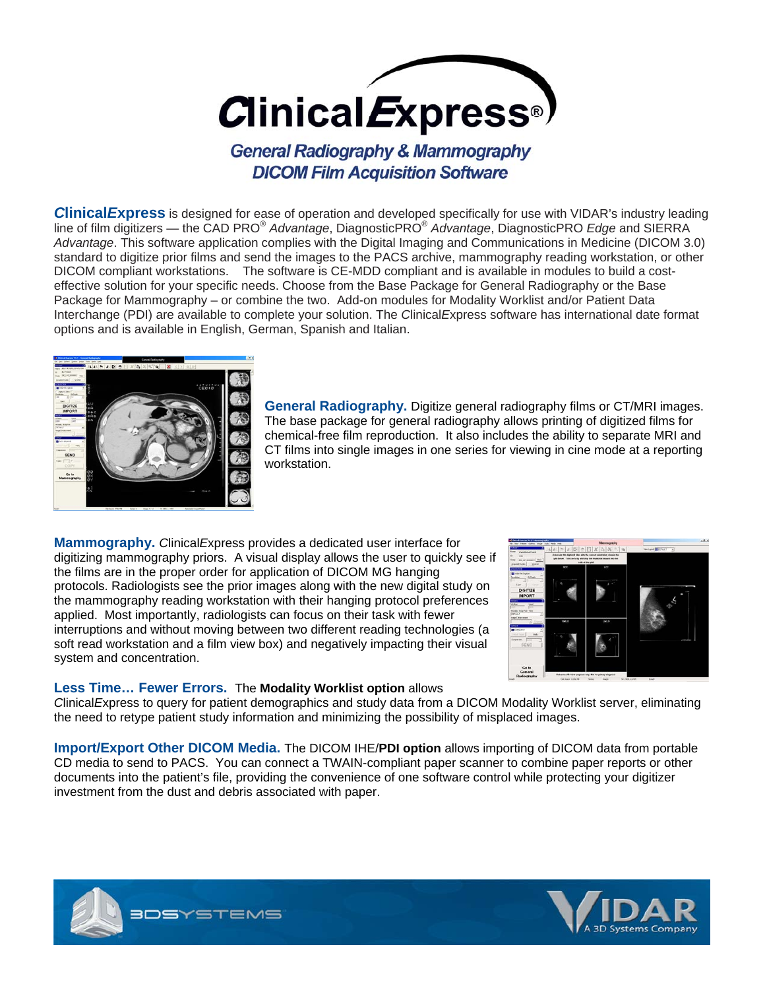**Clinical** Express<sup>®</sup>

**General Radiography & Mammography DICOM Film Acquisition Software** 

*C***linical***E***xpress** is designed for ease of operation and developed specifically for use with VIDAR's industry leading line of film digitizers — the CAD PRO® *Advantage*, DiagnosticPRO® *Advantage*, DiagnosticPRO *Edge* and SIERRA *Advantage*. This software application complies with the Digital Imaging and Communications in Medicine (DICOM 3.0) standard to digitize prior films and send the images to the PACS archive, mammography reading workstation, or other DICOM compliant workstations. The software is CE-MDD compliant and is available in modules to build a costeffective solution for your specific needs. Choose from the Base Package for General Radiography or the Base Package for Mammography – or combine the two. Add-on modules for Modality Worklist and/or Patient Data Interchange (PDI) are available to complete your solution. The *C*linical*E*xpress software has international date format options and is available in English, German, Spanish and Italian.



**General Radiography.** Digitize general radiography films or CT/MRI images. The base package for general radiography allows printing of digitized films for chemical-free film reproduction. It also includes the ability to separate MRI and CT films into single images in one series for viewing in cine mode at a reporting workstation.

**Mammography.** *C*linical*E*xpress provides a dedicated user interface for digitizing mammography priors. A visual display allows the user to quickly see if the films are in the proper order for application of DICOM MG hanging protocols. Radiologists see the prior images along with the new digital study on the mammography reading workstation with their hanging protocol preferences applied. Most importantly, radiologists can focus on their task with fewer interruptions and without moving between two different reading technologies (a soft read workstation and a film view box) and negatively impacting their visual system and concentration.



#### **Less Time… Fewer Errors.** The **Modality Worklist option** allows

*C*linical*E*xpress to query for patient demographics and study data from a DICOM Modality Worklist server, eliminating the need to retype patient study information and minimizing the possibility of misplaced images.

**Import/Export Other DICOM Media.** The DICOM IHE/**PDI option** allows importing of DICOM data from portable CD media to send to PACS. You can connect a TWAIN-compliant paper scanner to combine paper reports or other documents into the patient's file, providing the convenience of one software control while protecting your digitizer investment from the dust and debris associated with paper.